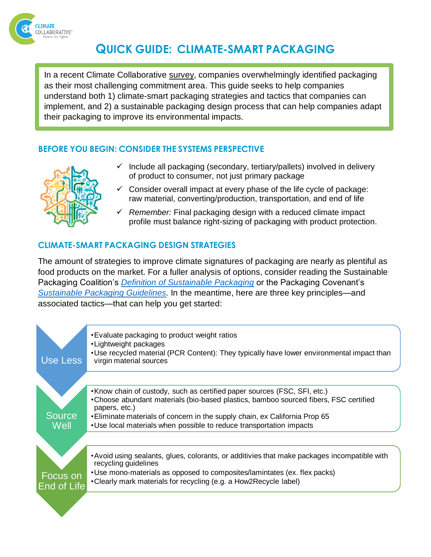

# **QUICK GUIDE: CLIMATE-SMART PACKAGING**

In a recent Climate Collaborative [survey,](https://www.climatecollaborative.com/survey_results) companies overwhelmingly identified packaging as their most challenging commitment area. This guide seeks to help companies understand both 1) climate-smart packaging strategies and tactics that companies can implement, and 2) a sustainable packaging design process that can help companies adapt their packaging to improve its environmental impacts.

#### **BEFORE YOU BEGIN: CONSIDER THE SYSTEMS PERSPECTIVE**



- $\checkmark$  Include all packaging (secondary, tertiary/pallets) involved in delivery of product to consumer, not just primary package
- $\checkmark$  Consider overall impact at every phase of the life cycle of package: raw material, converting/production, transportation, and end of life
- ✓ *Remember:* Final packaging design with a reduced climate impact profile must balance right-sizing of packaging with product protection.

## **CLIMATE-SMART PACKAGING DESIGN STRATEGIES**

The amount of strategies to improve climate signatures of packaging are nearly as plentiful as food products on the market. For a fuller analysis of options, consider reading the Sustainable Packaging Coalition's *[Definition of Sustainable Packaging](https://sustainablepackaging.org/wp-content/uploads/2017/09/Definition-of-Sustainable-Packaging.pdf)* or the Packaging Covenant's *[Sustainable Packaging Guidelines.](https://www.packagingcovenant.org.au/documents/item/1091)* In the meantime, here are three key principles—and associated tactics—that can help you get started:

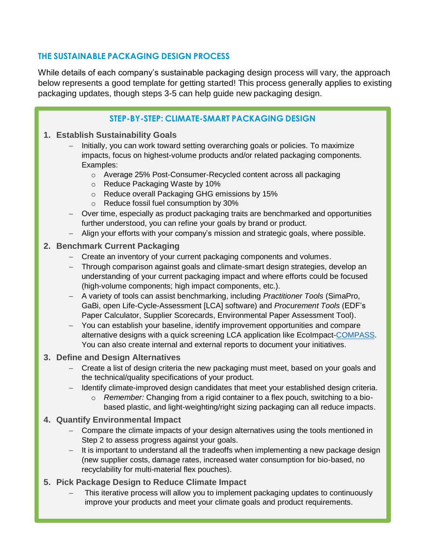## **THE SUSTAINABLE PACKAGING DESIGN PROCESS**

While details of each company's sustainable packaging design process will vary, the approach below represents a good template for getting started! This process generally applies to existing packaging updates, though steps 3-5 can help guide new packaging design.

## **STEP-BY-STEP: CLIMATE-SMART PACKAGING DESIGN**

- **1. Establish Sustainability Goals**
	- − Initially, you can work toward setting overarching goals or policies. To maximize impacts, focus on highest-volume products and/or related packaging components. Examples:
		- o Average 25% Post-Consumer-Recycled content across all packaging
		- o Reduce Packaging Waste by 10%
		- o Reduce overall Packaging GHG emissions by 15%
		- o Reduce fossil fuel consumption by 30%
	- − Over time, especially as product packaging traits are benchmarked and opportunities further understood, you can refine your goals by brand or product.
	- − Align your efforts with your company's mission and strategic goals, where possible.

### **2. Benchmark Current Packaging**

- − Create an inventory of your current packaging components and volumes.
- − Through comparison against goals and climate-smart design strategies, develop an understanding of your current packaging impact and where efforts could be focused (high-volume components; high impact components, etc.).
- − A variety of tools can assist benchmarking, including *Practitioner Tools* (SimaPro, GaBi, open Life-Cycle-Assessment [LCA] software) and *Procurement Tools* (EDF's Paper Calculator, Supplier Scorecards, Environmental Paper Assessment Tool).
- You can establish your baseline, identify improvement opportunities and compare alternative designs with a quick screening LCA application like EcoImpact[-COMPASS.](http://trayak.com/compass/) You can also create internal and external reports to document your initiatives.

### **3. Define and Design Alternatives**

- − Create a list of design criteria the new packaging must meet, based on your goals and the technical/quality specifications of your product.
- − Identify climate-improved design candidates that meet your established design criteria.
	- o *Remember:* Changing from a rigid container to a flex pouch, switching to a biobased plastic, and light-weighting/right sizing packaging can all reduce impacts.

### **4. Quantify Environmental Impact**

- − Compare the climate impacts of your design alternatives using the tools mentioned in Step 2 to assess progress against your goals.
- − It is important to understand all the tradeoffs when implementing a new package design (new supplier costs, damage rates, increased water consumption for bio-based, no recyclability for multi-material flex pouches).
- **5. Pick Package Design to Reduce Climate Impact**
	- This iterative process will allow you to implement packaging updates to continuously improve your products and meet your climate goals and product requirements.